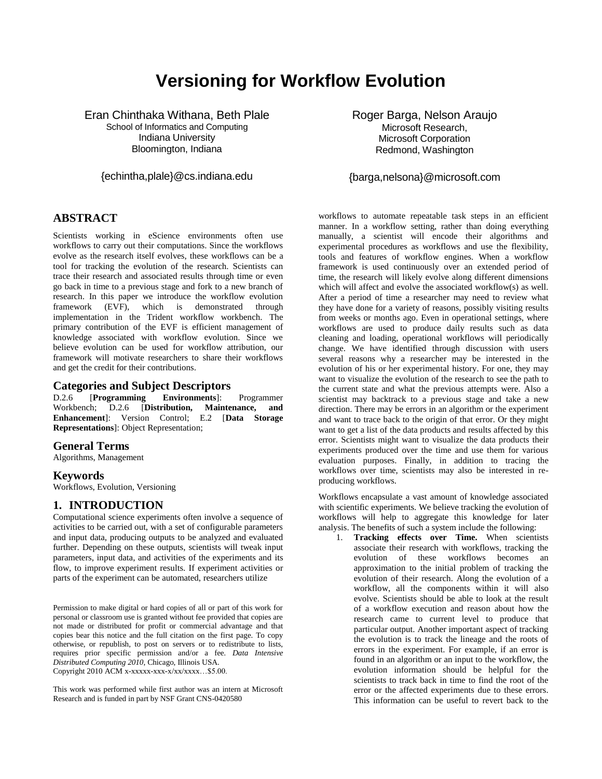# **Versioning for Workflow Evolution**

Eran Chinthaka Withana, Beth Plale School of Informatics and Computing

Indiana University Bloomington, Indiana

{echintha,plale}@cs.indiana.edu

**ABSTRACT**

Scientists working in eScience environments often use workflows to carry out their computations. Since the workflows evolve as the research itself evolves, these workflows can be a tool for tracking the evolution of the research. Scientists can trace their research and associated results through time or even go back in time to a previous stage and fork to a new branch of research. In this paper we introduce the workflow evolution framework (EVF), which is demonstrated through implementation in the Trident workflow workbench. The primary contribution of the EVF is efficient management of knowledge associated with workflow evolution. Since we believe evolution can be used for workflow attribution, our framework will motivate researchers to share their workflows and get the credit for their contributions.

### **Categories and Subject Descriptors**

D.2.6 [**Programming Environments**]: Programmer Workbench; D.2.6 [**Distribution, Maintenance, and Enhancement**]: Version Control; E.2 [**Data Storage Representations**]: Object Representation;

#### **General Terms**

Algorithms, Management

#### **Keywords**

Workflows, Evolution, Versioning

## **1. INTRODUCTION**

Computational science experiments often involve a sequence of activities to be carried out, with a set of configurable parameters and input data, producing outputs to be analyzed and evaluated further. Depending on these outputs, scientists will tweak input parameters, input data, and activities of the experiments and its flow, to improve experiment results. If experiment activities or parts of the experiment can be automated, researchers utilize

Permission to make digital or hard copies of all or part of this work for personal or classroom use is granted without fee provided that copies are not made or distributed for profit or commercial advantage and that copies bear this notice and the full citation on the first page. To copy otherwise, or republish, to post on servers or to redistribute to lists, requires prior specific permission and/or a fee*. Data Intensive Distributed Computing 2010*, Chicago, Illinois USA. Copyright 2010 ACM x-xxxxx-xxx-x/xx/xxxx…\$5.00.

This work was performed while first author was an intern at Microsoft Research and is funded in part by NSF Grant CNS-0420580

Roger Barga, Nelson Araujo Microsoft Research, Microsoft Corporation Redmond, Washington

{barga,nelsona}@microsoft.com

workflows to automate repeatable task steps in an efficient manner. In a workflow setting, rather than doing everything manually, a scientist will encode their algorithms and experimental procedures as workflows and use the flexibility, tools and features of workflow engines. When a workflow framework is used continuously over an extended period of time, the research will likely evolve along different dimensions which will affect and evolve the associated workflow(s) as well. After a period of time a researcher may need to review what they have done for a variety of reasons, possibly visiting results from weeks or months ago. Even in operational settings, where workflows are used to produce daily results such as data cleaning and loading, operational workflows will periodically change. We have identified through discussion with users several reasons why a researcher may be interested in the evolution of his or her experimental history. For one, they may want to visualize the evolution of the research to see the path to the current state and what the previous attempts were. Also a scientist may backtrack to a previous stage and take a new direction. There may be errors in an algorithm or the experiment and want to trace back to the origin of that error. Or they might want to get a list of the data products and results affected by this error. Scientists might want to visualize the data products their experiments produced over the time and use them for various evaluation purposes. Finally, in addition to tracing the workflows over time, scientists may also be interested in reproducing workflows.

Workflows encapsulate a vast amount of knowledge associated with scientific experiments. We believe tracking the evolution of workflows will help to aggregate this knowledge for later analysis. The benefits of such a system include the following:

1. **Tracking effects over Time.** When scientists associate their research with workflows, tracking the evolution of these workflows becomes an approximation to the initial problem of tracking the evolution of their research. Along the evolution of a workflow, all the components within it will also evolve. Scientists should be able to look at the result of a workflow execution and reason about how the research came to current level to produce that particular output. Another important aspect of tracking the evolution is to track the lineage and the roots of errors in the experiment. For example, if an error is found in an algorithm or an input to the workflow, the evolution information should be helpful for the scientists to track back in time to find the root of the error or the affected experiments due to these errors. This information can be useful to revert back to the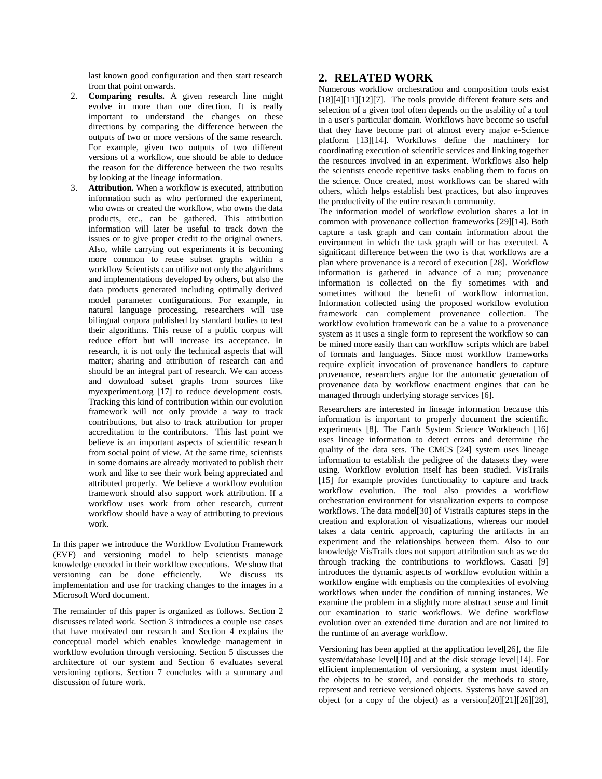last known good configuration and then start research from that point onwards.

- 2. **Comparing results.** A given research line might evolve in more than one direction. It is really important to understand the changes on these directions by comparing the difference between the outputs of two or more versions of the same research. For example, given two outputs of two different versions of a workflow, one should be able to deduce the reason for the difference between the two results by looking at the lineage information.
- 3. **Attribution.** When a workflow is executed, attribution information such as who performed the experiment, who owns or created the workflow, who owns the data products, etc., can be gathered. This attribution information will later be useful to track down the issues or to give proper credit to the original owners. Also, while carrying out experiments it is becoming more common to reuse subset graphs within a workflow Scientists can utilize not only the algorithms and implementations developed by others, but also the data products generated including optimally derived model parameter configurations. For example, in natural language processing, researchers will use bilingual corpora published by standard bodies to test their algorithms. This reuse of a public corpus will reduce effort but will increase its acceptance. In research, it is not only the technical aspects that will matter; sharing and attribution of research can and should be an integral part of research. We can access and download subset graphs from sources like myexperiment.org [17] to reduce development costs. Tracking this kind of contribution within our evolution framework will not only provide a way to track contributions, but also to track attribution for proper accreditation to the contributors. This last point we believe is an important aspects of scientific research from social point of view. At the same time, scientists in some domains are already motivated to publish their work and like to see their work being appreciated and attributed properly. We believe a workflow evolution framework should also support work attribution. If a workflow uses work from other research, current workflow should have a way of attributing to previous work.

In this paper we introduce the Workflow Evolution Framework (EVF) and versioning model to help scientists manage knowledge encoded in their workflow executions. We show that versioning can be done efficiently. We discuss its implementation and use for tracking changes to the images in a Microsoft Word document.

The remainder of this paper is organized as follows. Section [2](#page-1-0) discusses related work. Section [3](#page-2-0) introduces a couple use cases that have motivated our research and Section [4](#page-2-1) explains the conceptual model which enables knowledge management in workflow evolution through versioning. Section [5](#page-3-0) discusses the architecture of our system and Section 6 evaluates several versioning options. Section [7](#page-8-0) concludes with a summary and discussion of future work.

#### <span id="page-1-0"></span>**2. RELATED WORK**

Numerous workflow orchestration and composition tools exist [18][4][11][12][7]. The tools provide different feature sets and selection of a given tool often depends on the usability of a tool in a user's particular domain. Workflows have become so useful that they have become part of almost every major e-Science platform [13][14]. Workflows define the machinery for coordinating execution of scientific services and linking together the resources involved in an experiment. Workflows also help the scientists encode repetitive tasks enabling them to focus on the science. Once created, most workflows can be shared with others, which helps establish best practices, but also improves the productivity of the entire research community.

The information model of workflow evolution shares a lot in common with provenance collection frameworks [29][14]. Both capture a task graph and can contain information about the environment in which the task graph will or has executed. A significant difference between the two is that workflows are a plan where provenance is a record of execution [28]. Workflow information is gathered in advance of a run; provenance information is collected on the fly sometimes with and sometimes without the benefit of workflow information. Information collected using the proposed workflow evolution framework can complement provenance collection. The workflow evolution framework can be a value to a provenance system as it uses a single form to represent the workflow so can be mined more easily than can workflow scripts which are babel of formats and languages. Since most workflow frameworks require explicit invocation of provenance handlers to capture provenance, researchers argue for the automatic generation of provenance data by workflow enactment engines that can be managed through underlying storage services [6].

Researchers are interested in lineage information because this information is important to properly document the scientific experiments [8]. The Earth System Science Workbench [16] uses lineage information to detect errors and determine the quality of the data sets. The CMCS [24] system uses lineage information to establish the pedigree of the datasets they were using. Workflow evolution itself has been studied. VisTrails [15] for example provides functionality to capture and track workflow evolution. The tool also provides a workflow orchestration environment for visualization experts to compose workflows. The data model[30] of Vistrails captures steps in the creation and exploration of visualizations, whereas our model takes a data centric approach, capturing the artifacts in an experiment and the relationships between them. Also to our knowledge VisTrails does not support attribution such as we do through tracking the contributions to workflows. Casati [9] introduces the dynamic aspects of workflow evolution within a workflow engine with emphasis on the complexities of evolving workflows when under the condition of running instances. We examine the problem in a slightly more abstract sense and limit our examination to static workflows. We define workflow evolution over an extended time duration and are not limited to the runtime of an average workflow.

Versioning has been applied at the application level[26], the file system/database level[10] and at the disk storage level[14]. For efficient implementation of versioning, a system must identify the objects to be stored, and consider the methods to store, represent and retrieve versioned objects. Systems have saved an object (or a copy of the object) as a version[20][21][26][28],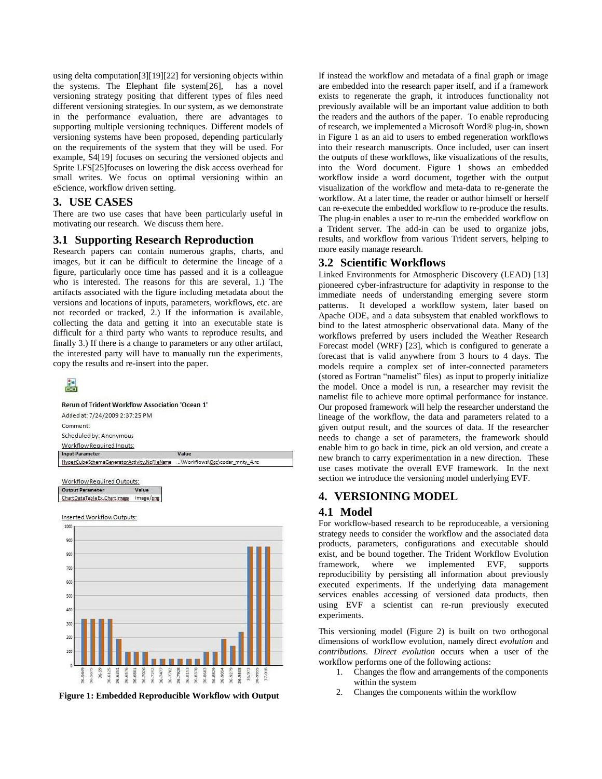using delta computation[3][19][22] for versioning objects within the systems. The Elephant file system[26], has a novel versioning strategy positing that different types of files need different versioning strategies. In our system, as we demonstrate in the performance evaluation, there are advantages to supporting multiple versioning techniques. Different models of versioning systems have been proposed, depending particularly on the requirements of the system that they will be used. For example, S4[19] focuses on securing the versioned objects and Sprite LFS[25]focuses on lowering the disk access overhead for small writes. We focus on optimal versioning within an eScience, workflow driven setting.

#### <span id="page-2-0"></span>**3. USE CASES**

There are two use cases that have been particularly useful in motivating our research. We discuss them here.

#### **3.1 Supporting Research Reproduction**

Research papers can contain numerous graphs, charts, and images, but it can be difficult to determine the lineage of a figure, particularly once time has passed and it is a colleague who is interested. The reasons for this are several, 1.) The artifacts associated with the figure including metadata about the versions and locations of inputs, parameters, workflows, etc. are not recorded or tracked, 2.) If the information is available, collecting the data and getting it into an executable state is difficult for a third party who wants to reproduce results, and finally 3.) If there is a change to parameters or any other artifact, the interested party will have to manually run the experiments, copy the results and re-insert into the paper.





Inserted Workflow Outputs:



**Figure 1: Embedded Reproducible Workflow with Output**

If instead the workflow and metadata of a final graph or image are embedded into the research paper itself, and if a framework exists to regenerate the graph, it introduces functionality not previously available will be an important value addition to both the readers and the authors of the paper. To enable reproducing of research, we implemented a Microsoft Word® plug-in, shown in Figure 1 as an aid to users to embed regeneration workflows into their research manuscripts. Once included, user can insert the outputs of these workflows, like visualizations of the results, into the Word document. Figure 1 shows an embedded workflow inside a word document, together with the output visualization of the workflow and meta-data to re-generate the workflow. At a later time, the reader or author himself or herself can re-execute the embedded workflow to re-produce the results. The plug-in enables a user to re-run the embedded workflow on a Trident server. The add-in can be used to organize jobs, results, and workflow from various Trident servers, helping to more easily manage research.

# **3.2 Scientific Workflows**

Linked Environments for Atmospheric Discovery (LEAD) [13] pioneered cyber-infrastructure for adaptivity in response to the immediate needs of understanding emerging severe storm patterns. It developed a workflow system, later based on Apache ODE, and a data subsystem that enabled workflows to bind to the latest atmospheric observational data. Many of the workflows preferred by users included the Weather Research Forecast model (WRF) [23], which is configured to generate a forecast that is valid anywhere from 3 hours to 4 days. The models require a complex set of inter-connected parameters (stored as Fortran "namelist" files) as input to properly initialize the model. Once a model is run, a researcher may revisit the namelist file to achieve more optimal performance for instance. Our proposed framework will help the researcher understand the lineage of the workflow, the data and parameters related to a given output result, and the sources of data. If the researcher needs to change a set of parameters, the framework should enable him to go back in time, pick an old version, and create a new branch to carry experimentation in a new direction. These use cases motivate the overall EVF framework. In the next section we introduce the versioning model underlying EVF.

# <span id="page-2-1"></span>**4. VERSIONING MODEL**

# **4.1 Model**

For workflow-based research to be reproduceable, a versioning strategy needs to consider the workflow and the associated data products, parameters, configurations and executable should exist, and be bound together. The Trident Workflow Evolution framework, where we implemented EVF, supports reproducibility by persisting all information about previously executed experiments. If the underlying data management services enables accessing of versioned data products, then using EVF a scientist can re-run previously executed experiments.

This versioning model [\(Figure 2\)](#page-3-1) is built on two orthogonal dimensions of workflow evolution, namely direct *evolution* and *contributions*. *Direct evolution* occurs when a user of the workflow performs one of the following actions:

- 1. Changes the flow and arrangements of the components within the system
- 2. Changes the components within the workflow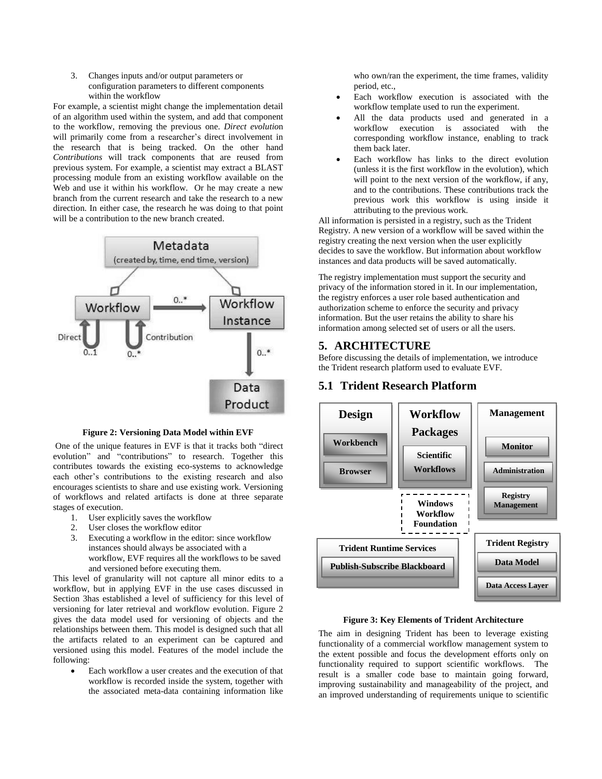3. Changes inputs and/or output parameters or configuration parameters to different components within the workflow

For example, a scientist might change the implementation detail of an algorithm used within the system, and add that component to the workflow, removing the previous one. *Direct evolutio*n will primarily come from a researcher's direct involvement in the research that is being tracked. On the other hand *Contributions* will track components that are reused from previous system. For example, a scientist may extract a BLAST processing module from an existing workflow available on the Web and use it within his workflow. Or he may create a new branch from the current research and take the research to a new direction. In either case, the research he was doing to that point will be a contribution to the new branch created.



**Figure 2: Versioning Data Model within EVF**

<span id="page-3-1"></span>One of the unique features in EVF is that it tracks both "direct evolution" and "contributions" to research. Together this contributes towards the existing eco-systems to acknowledge each other's contributions to the existing research and also encourages scientists to share and use existing work. Versioning of workflows and related artifacts is done at three separate stages of execution.

- 1. User explicitly saves the workflow
- 2. User closes the workflow editor
- 3. Executing a workflow in the editor: since workflow instances should always be associated with a workflow, EVF requires all the workflows to be saved and versioned before executing them.

This level of granularity will not capture all minor edits to a workflow, but in applying EVF in the use cases discussed in Section [3h](#page-2-0)as established a level of sufficiency for this level of versioning for later retrieval and workflow evolution. Figure 2 gives the data model used for versioning of objects and the relationships between them. This model is designed such that all the artifacts related to an experiment can be captured and versioned using this model. Features of the model include the following:

 Each workflow a user creates and the execution of that workflow is recorded inside the system, together with the associated meta-data containing information like

who own/ran the experiment, the time frames, validity period, etc.,

- Each workflow execution is associated with the workflow template used to run the experiment.
- All the data products used and generated in a workflow execution is associated with the corresponding workflow instance, enabling to track them back later.
- Each workflow has links to the direct evolution (unless it is the first workflow in the evolution), which will point to the next version of the workflow, if any, and to the contributions. These contributions track the previous work this workflow is using inside it attributing to the previous work.

All information is persisted in a registry, such as the Trident Registry. A new version of a workflow will be saved within the registry creating the next version when the user explicitly decides to save the workflow. But information about workflow instances and data products will be saved automatically.

The registry implementation must support the security and privacy of the information stored in it. In our implementation, the registry enforces a user role based authentication and authorization scheme to enforce the security and privacy information. But the user retains the ability to share his information among selected set of users or all the users.

## <span id="page-3-0"></span>**5. ARCHITECTURE**

Before discussing the details of implementation, we introduce the Trident research platform used to evaluate EVF.

## **5.1 Trident Research Platform**



**Figure 3: Key Elements of Trident Architecture**

The aim in designing Trident has been to leverage existing functionality of a commercial workflow management system to the extent possible and focus the development efforts only on functionality required to support scientific workflows. The result is a smaller code base to maintain going forward, improving sustainability and manageability of the project, and an improved understanding of requirements unique to scientific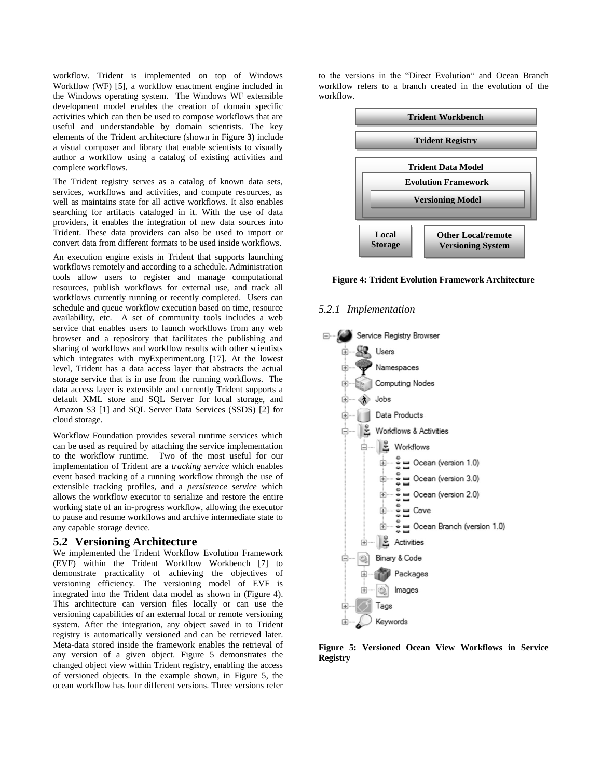workflow. Trident is implemented on top of Windows Workflow (WF) [5], a workflow enactment engine included in the Windows operating system. The Windows WF extensible development model enables the creation of domain specific activities which can then be used to compose workflows that are useful and understandable by domain scientists. The key elements of the Trident architecture (shown in Figure **3)** include a visual composer and library that enable scientists to visually author a workflow using a catalog of existing activities and complete workflows.

The Trident registry serves as a catalog of known data sets, services, workflows and activities, and compute resources, as well as maintains state for all active workflows. It also enables searching for artifacts cataloged in it. With the use of data providers, it enables the integration of new data sources into Trident. These data providers can also be used to import or convert data from different formats to be used inside workflows.

An execution engine exists in Trident that supports launching workflows remotely and according to a schedule. Administration tools allow users to register and manage computational resources, publish workflows for external use, and track all workflows currently running or recently completed. Users can schedule and queue workflow execution based on time, resource availability, etc. A set of community tools includes a web service that enables users to launch workflows from any web browser and a repository that facilitates the publishing and sharing of workflows and workflow results with other scientists which integrates with myExperiment.org [17]. At the lowest level, Trident has a data access layer that abstracts the actual storage service that is in use from the running workflows. The data access layer is extensible and currently Trident supports a default XML store and SQL Server for local storage, and Amazon S3 [1] and SQL Server Data Services (SSDS) [2] for cloud storage.

Workflow Foundation provides several runtime services which can be used as required by attaching the service implementation to the workflow runtime. Two of the most useful for our implementation of Trident are a *tracking service* which enables event based tracking of a running workflow through the use of extensible tracking profiles, and a *persistence service* which allows the workflow executor to serialize and restore the entire working state of an in-progress workflow, allowing the executor to pause and resume workflows and archive intermediate state to any capable storage device.

#### **5.2 Versioning Architecture**

We implemented the Trident Workflow Evolution Framework (EVF) within the Trident Workflow Workbench [7] to demonstrate practicality of achieving the objectives of versioning efficiency. The versioning model of EVF is integrated into the Trident data model as shown in (Figure 4). This architecture can version files locally or can use the versioning capabilities of an external local or remote versioning system. After the integration, any object saved in to Trident registry is automatically versioned and can be retrieved later. Meta-data stored inside the framework enables the retrieval of any version of a given object. Figure 5 demonstrates the changed object view within Trident registry, enabling the access of versioned objects. In the example shown, in Figure 5, the ocean workflow has four different versions. Three versions refer

to the versions in the "Direct Evolution" and Ocean Branch workflow refers to a branch created in the evolution of the workflow.



**Figure 4: Trident Evolution Framework Architecture**

#### *5.2.1 Implementation*



**Figure 5: Versioned Ocean View Workflows in Service Registry**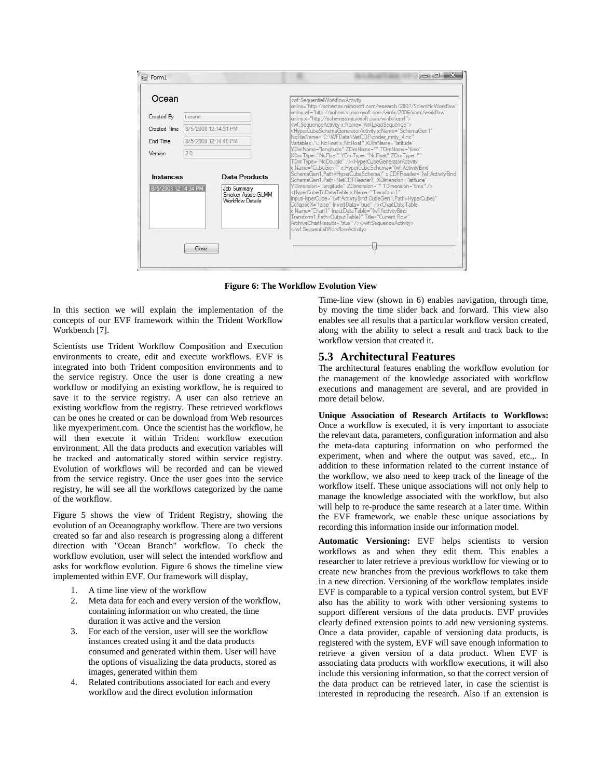| Ocean                             |                      |                                              | <wf:sequentialworldlowactivity<br>xmlns="http://schemas.microsoft.com/research/2007/ScientificWorkflow"</wf:sequentialworldlowactivity<br>                                                                                                                                                |
|-----------------------------------|----------------------|----------------------------------------------|-------------------------------------------------------------------------------------------------------------------------------------------------------------------------------------------------------------------------------------------------------------------------------------------|
| Created By                        | t-eranc              |                                              | xmlns:wf="http://schemas.microsoft.com/winfx/2006/xaml/workflow"<br>xmlns x="http://schemas.microsoft.com/winfx/xaml">                                                                                                                                                                    |
| Created Time                      | 8/5/2008 12:14:31 PM |                                              | <wf:sequenceactivity x:name="XmlLoadSequence"><br/><hypercubeschemageneratoractivity <="" td="" x:name="SchemaGen1"></hypercubeschemageneratoractivity></wf:sequenceactivity>                                                                                                             |
| End Time                          | 8/5/2008 12:14:40 PM |                                              | NcFileName="C:\WFData\NetCDF\codar_mnty_4.nc"<br>Variables="u,NcFloat,v,NcFloat" XDimName="latitude"                                                                                                                                                                                      |
| Version                           | 2.0                  |                                              | YDimName="longitude" ZDimName="" TDimName="time"<br>XDim Type="NcFloat" YDim Type="NcFloat" ZDim Type=""                                                                                                                                                                                  |
| Instances<br>8/5/2008 12:14:34 PM |                      | Data Products<br>Job Summary                 | SchemaGen1, Path=HyperCubeSchema}" x:CDFReader="{wf:ActivityBind<br>SchemaGen1, Path=NetCDFReader}" XDimension="latitude"<br>YDimension="longitude" ZDimension="" TDimension="time" /><br><hypercubetodatatable <="" th="" x:name="Transform1"></hypercubetodatatable>                    |
|                                   |                      | Smoker Assoc GLMM<br><b>Workflow Details</b> | InputHyperCube="{wf:ActivityBind CubeGen1,Path=HyperCube}"<br>CollapseX="false" InvertData="true" /> <chartdatatable<br>x:Name="Chart1" InputDataTable="{wf:ActivityBind<br/>Transform1, Path=OutputTable)" Title="Current Flow"<br/>ArchiveChartResults="true" /&gt;</chartdatatable<br> |
|                                   |                      |                                              |                                                                                                                                                                                                                                                                                           |

**Figure 6: The Workflow Evolution View**

In this section we will explain the implementation of the concepts of our EVF framework within the Trident Workflow Workbench [7].

Scientists use Trident Workflow Composition and Execution environments to create, edit and execute workflows. EVF is integrated into both Trident composition environments and to the service registry. Once the user is done creating a new workflow or modifying an existing workflow, he is required to save it to the service registry. A user can also retrieve an existing workflow from the registry. These retrieved workflows can be ones he created or can be download from Web resources like myexperiment.com. Once the scientist has the workflow, he will then execute it within Trident workflow execution environment. All the data products and execution variables will be tracked and automatically stored within service registry. Evolution of workflows will be recorded and can be viewed from the service registry. Once the user goes into the service registry, he will see all the workflows categorized by the name of the workflow.

Figure 5 shows the view of Trident Registry, showing the evolution of an Oceanography workflow. There are two versions created so far and also research is progressing along a different direction with "Ocean Branch" workflow. To check the workflow evolution, user will select the intended workflow and asks for workflow evolution. Figure 6 shows the timeline view implemented within EVF. Our framework will display,

- 1. A time line view of the workflow
- 2. Meta data for each and every version of the workflow, containing information on who created, the time duration it was active and the version
- 3. For each of the version, user will see the workflow instances created using it and the data products consumed and generated within them. User will have the options of visualizing the data products, stored as images, generated within them
- 4. Related contributions associated for each and every workflow and the direct evolution information

Time-line view (shown in 6) enables navigation, through time, by moving the time slider back and forward. This view also enables see all results that a particular workflow version created, along with the ability to select a result and track back to the workflow version that created it.

#### **5.3 Architectural Features**

The architectural features enabling the workflow evolution for the management of the knowledge associated with workflow executions and management are several, and are provided in more detail below.

**Unique Association of Research Artifacts to Workflows:** Once a workflow is executed, it is very important to associate the relevant data, parameters, configuration information and also the meta-data capturing information on who performed the experiment, when and where the output was saved, etc.,. In addition to these information related to the current instance of the workflow, we also need to keep track of the lineage of the workflow itself. These unique associations will not only help to manage the knowledge associated with the workflow, but also will help to re-produce the same research at a later time. Within the EVF framework, we enable these unique associations by recording this information inside our information model.

**Automatic Versioning:** EVF helps scientists to version workflows as and when they edit them. This enables a researcher to later retrieve a previous workflow for viewing or to create new branches from the previous workflows to take them in a new direction. Versioning of the workflow templates inside EVF is comparable to a typical version control system, but EVF also has the ability to work with other versioning systems to support different versions of the data products. EVF provides clearly defined extension points to add new versioning systems. Once a data provider, capable of versioning data products, is registered with the system, EVF will save enough information to retrieve a given version of a data product. When EVF is associating data products with workflow executions, it will also include this versioning information, so that the correct version of the data product can be retrieved later, in case the scientist is interested in reproducing the research. Also if an extension is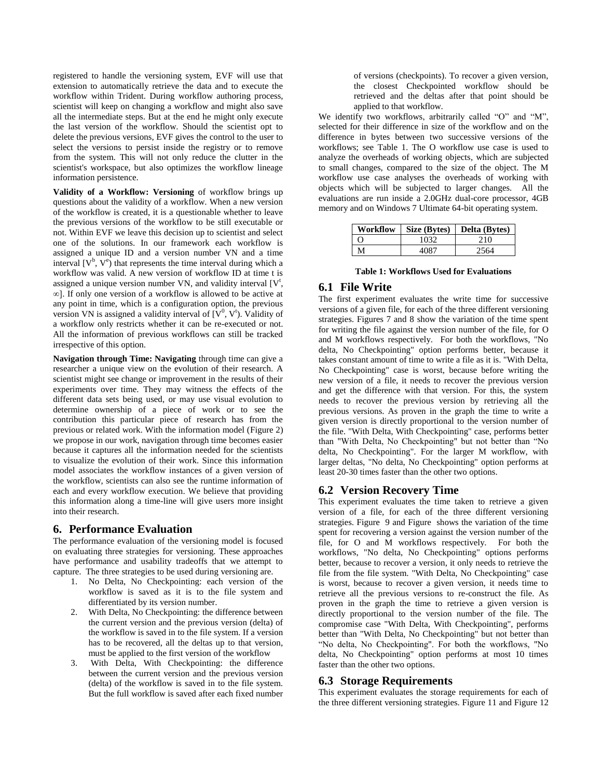registered to handle the versioning system, EVF will use that extension to automatically retrieve the data and to execute the workflow within Trident. During workflow authoring process, scientist will keep on changing a workflow and might also save all the intermediate steps. But at the end he might only execute the last version of the workflow. Should the scientist opt to delete the previous versions, EVF gives the control to the user to select the versions to persist inside the registry or to remove from the system. This will not only reduce the clutter in the scientist's workspace, but also optimizes the workflow lineage information persistence.

**Validity of a Workflow: Versioning** of workflow brings up questions about the validity of a workflow. When a new version of the workflow is created, it is a questionable whether to leave the previous versions of the workflow to be still executable or not. Within EVF we leave this decision up to scientist and select one of the solutions. In our framework each workflow is assigned a unique ID and a version number VN and a time interval  $[V^b, V^e)$  that represents the time interval during which a workflow was valid. A new version of workflow ID at time t is assigned a unique version number VN, and validity interval  $[V^t,$ ∞]. If only one version of a workflow is allowed to be active at any point in time, which is a configuration option, the previous version VN is assigned a validity interval of  $(V^0, V^t)$ . Validity of a workflow only restricts whether it can be re-executed or not. All the information of previous workflows can still be tracked irrespective of this option.

**Navigation through Time: Navigating** through time can give a researcher a unique view on the evolution of their research. A scientist might see change or improvement in the results of their experiments over time. They may witness the effects of the different data sets being used, or may use visual evolution to determine ownership of a piece of work or to see the contribution this particular piece of research has from the previous or related work. With the information model (Figure 2) we propose in our work, navigation through time becomes easier because it captures all the information needed for the scientists to visualize the evolution of their work. Since this information model associates the workflow instances of a given version of the workflow, scientists can also see the runtime information of each and every workflow execution. We believe that providing this information along a time-line will give users more insight into their research.

#### **6. Performance Evaluation**

The performance evaluation of the versioning model is focused on evaluating three strategies for versioning. These approaches have performance and usability tradeoffs that we attempt to capture. The three strategies to be used during versioning are.

- 1. No Delta, No Checkpointing: each version of the workflow is saved as it is to the file system and differentiated by its version number.
- 2. With Delta, No Checkpointing: the difference between the current version and the previous version (delta) of the workflow is saved in to the file system. If a version has to be recovered, all the deltas up to that version, must be applied to the first version of the workflow
- 3. With Delta, With Checkpointing: the difference between the current version and the previous version (delta) of the workflow is saved in to the file system. But the full workflow is saved after each fixed number

of versions (checkpoints). To recover a given version, the closest Checkpointed workflow should be retrieved and the deltas after that point should be applied to that workflow.

We identify two workflows, arbitrarily called "O" and "M", selected for their difference in size of the workflow and on the difference in bytes between two successive versions of the workflows; see Table 1. The O workflow use case is used to analyze the overheads of working objects, which are subjected to small changes, compared to the size of the object. The M workflow use case analyses the overheads of working with objects which will be subjected to larger changes. All the evaluations are run inside a 2.0GHz dual-core processor, 4GB memory and on Windows 7 Ultimate 64-bit operating system.

|   |      | Workflow   Size (Bytes)   Delta (Bytes) |
|---|------|-----------------------------------------|
|   | 1032 | 210                                     |
| M |      | 2564                                    |

**Table 1: Workflows Used for Evaluations**

#### **6.1 File Write**

The first experiment evaluates the write time for successive versions of a given file, for each of the three different versioning strategies. Figures 7 and 8 show the variation of the time spent for writing the file against the version number of the file, for O and M workflows respectively. For both the workflows, "No delta, No Checkpointing" option performs better, because it takes constant amount of time to write a file as it is. "With Delta, No Checkpointing" case is worst, because before writing the new version of a file, it needs to recover the previous version and get the difference with that version. For this, the system needs to recover the previous version by retrieving all the previous versions. As proven in the graph the time to write a given version is directly proportional to the version number of the file. "With Delta, With Checkpointing" case, performs better than "With Delta, No Checkpointing" but not better than "No delta, No Checkpointing". For the larger M workflow, with larger deltas, "No delta, No Checkpointing" option performs at least 20-30 times faster than the other two options.

## **6.2 Version Recovery Time**

This experiment evaluates the time taken to retrieve a given version of a file, for each of the three different versioning strategies. [Figure 9](#page-7-0) and [Figure](#page-7-1) shows the variation of the time spent for recovering a version against the version number of the file, for O and M workflows respectively. For both the workflows, "No delta, No Checkpointing" options performs better, because to recover a version, it only needs to retrieve the file from the file system. "With Delta, No Checkpointing" case is worst, because to recover a given version, it needs time to retrieve all the previous versions to re-construct the file. As proven in the graph the time to retrieve a given version is directly proportional to the version number of the file. The compromise case "With Delta, With Checkpointing", performs better than "With Delta, No Checkpointing" but not better than "No delta, No Checkpointing". For both the workflows, "No delta, No Checkpointing" option performs at most 10 times faster than the other two options.

#### **6.3 Storage Requirements**

This experiment evaluates the storage requirements for each of the three different versioning strategies. [Figure 1](#page-7-2)1 and [Figure 1](#page-8-1)2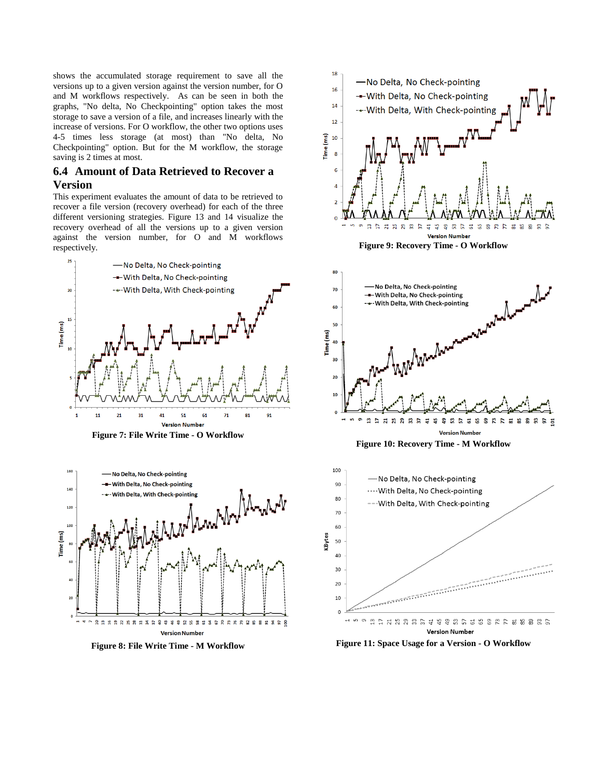shows the accumulated storage requirement to save all the versions up to a given version against the version number, for O and M workflows respectively. As can be seen in both the graphs, "No delta, No Checkpointing" option takes the most storage to save a version of a file, and increases linearly with the increase of versions. For O workflow, the other two options uses 4-5 times less storage (at most) than "No delta, No Checkpointing" option. But for the M workflow, the storage saving is 2 times at most.

### **6.4 Amount of Data Retrieved to Recover a Version**

This experiment evaluates the amount of data to be retrieved to recover a file version (recovery overhead) for each of the three different versioning strategies. [Figure 1](#page-8-2)3 and 14 visualize the recovery overhead of all the versions up to a given version against the version number, for O and M workflows respectively.



**Figure 7: File Write Time - O Workflow**







<span id="page-7-0"></span>

**Figure 10: Recovery Time - M Workflow**

<span id="page-7-1"></span>

<span id="page-7-2"></span>**Figure 11: Space Usage for a Version - O Workflow**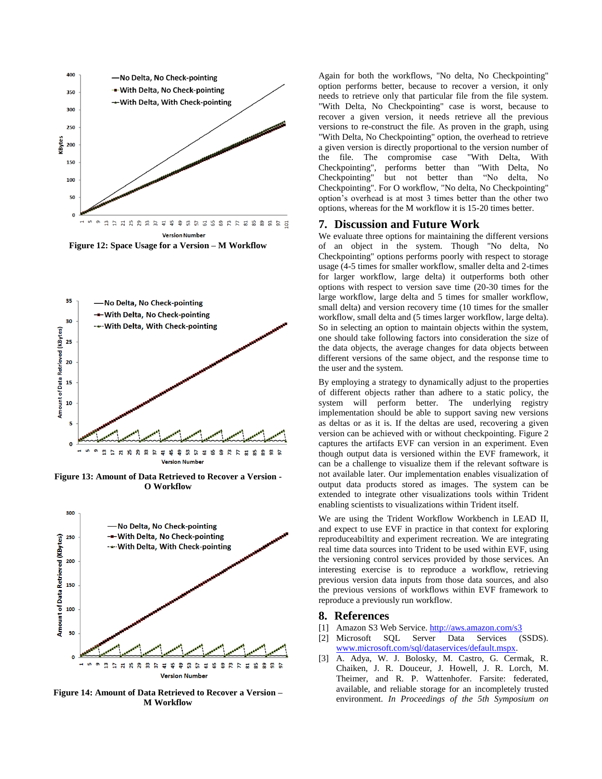

<span id="page-8-1"></span>**Figure 12: Space Usage for a Version – M Workflow**



<span id="page-8-2"></span>**Figure 13: Amount of Data Retrieved to Recover a Version - O Workflow**



**Figure 14: Amount of Data Retrieved to Recover a Version – M Workflow**

Again for both the workflows, "No delta, No Checkpointing" option performs better, because to recover a version, it only needs to retrieve only that particular file from the file system. "With Delta, No Checkpointing" case is worst, because to recover a given version, it needs retrieve all the previous versions to re-construct the file. As proven in the graph, using "With Delta, No Checkpointing" option, the overhead to retrieve a given version is directly proportional to the version number of the file. The compromise case "With Delta, With Checkpointing", performs better than "With Delta, No Checkpointing" but not better than "No delta, No Checkpointing". For O workflow, "No delta, No Checkpointing" option's overhead is at most 3 times better than the other two options, whereas for the M workflow it is 15-20 times better.

#### <span id="page-8-0"></span>**7. Discussion and Future Work**

We evaluate three options for maintaining the different versions of an object in the system. Though "No delta, No Checkpointing" options performs poorly with respect to storage usage (4-5 times for smaller workflow, smaller delta and 2-times for larger workflow, large delta) it outperforms both other options with respect to version save time (20-30 times for the large workflow, large delta and 5 times for smaller workflow, small delta) and version recovery time (10 times for the smaller workflow, small delta and (5 times larger workflow, large delta). So in selecting an option to maintain objects within the system, one should take following factors into consideration the size of the data objects, the average changes for data objects between different versions of the same object, and the response time to the user and the system.

By employing a strategy to dynamically adjust to the properties of different objects rather than adhere to a static policy, the system will perform better. The underlying registry implementation should be able to support saving new versions as deltas or as it is. If the deltas are used, recovering a given version can be achieved with or without checkpointing[. Figure 2](#page-3-1) captures the artifacts EVF can version in an experiment. Even though output data is versioned within the EVF framework, it can be a challenge to visualize them if the relevant software is not available later. Our implementation enables visualization of output data products stored as images. The system can be extended to integrate other visualizations tools within Trident enabling scientists to visualizations within Trident itself.

We are using the Trident Workflow Workbench in LEAD II, and expect to use EVF in practice in that context for exploring reproduceabiltity and experiment recreation. We are integrating real time data sources into Trident to be used within EVF, using the versioning control services provided by those services. An interesting exercise is to reproduce a workflow, retrieving previous version data inputs from those data sources, and also the previous versions of workflows within EVF framework to reproduce a previously run workflow.

#### **8. References**

- [1] Amazon S3 Web Service.<http://aws.amazon.com/s3>
- [2] Microsoft SQL Server Data Services (SSDS). [www.microsoft.com/sql/dataservices/default.mspx.](http://www.microsoft.com/sql/dataservices/default.mspx)
- [3] A. Adya, W. J. Bolosky, M. Castro, G. Cermak, R. Chaiken, J. R. Douceur, J. Howell, J. R. Lorch, M. Theimer, and R. P. Wattenhofer. Farsite: federated, available, and reliable storage for an incompletely trusted environment. *In Proceedings of the 5th Symposium on*